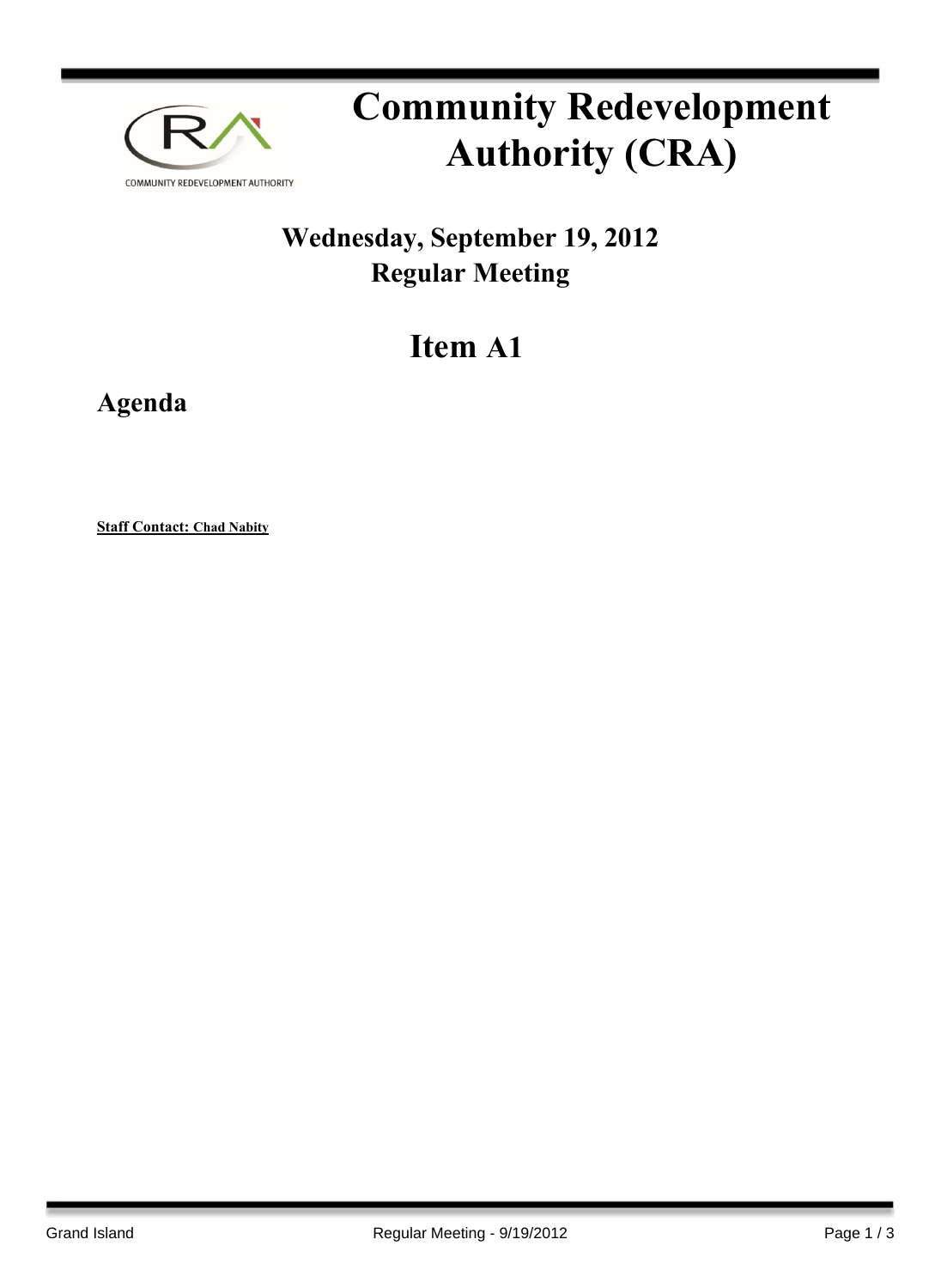

## **Community Redevelopment Authority (CRA)**

## **Wednesday, September 19, 2012 Regular Meeting**

## **Item A1**

**Agenda**

**Staff Contact: Chad Nabity**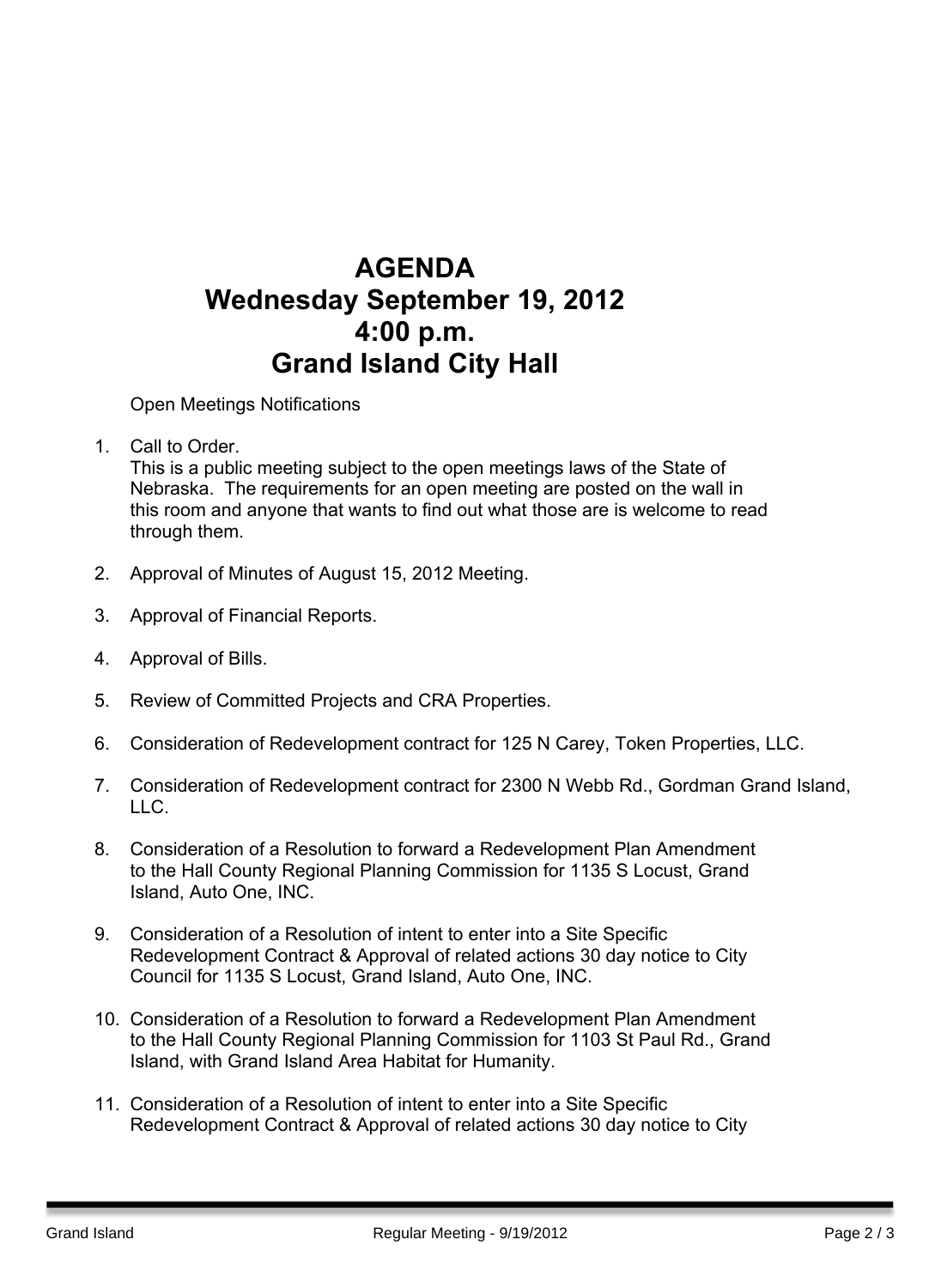## **AGENDA Wednesday September 19, 2012 4:00 p.m. Grand Island City Hall**

Open Meetings Notifications

1. Call to Order. Barry Sandstrom Call to Order.

This is a public meeting subject to the open meetings laws of the State of Nebraska. The requirements for an open meeting are posted on the wall in this room and anyone that wants to find out what those are is welcome to read through them.

- 2. Approval of Minutes of August 15, 2012 Meeting.
- 3. Approval of Financial Reports.
- 4. Approval of Bills.
- 5. Review of Committed Projects and CRA Properties.
- 6. Consideration of Redevelopment contract for 125 N Carey, Token Properties, LLC.
- 7. Consideration of Redevelopment contract for 2300 N Webb Rd., Gordman Grand Island, LLC.
- 8. Consideration of a Resolution to forward a Redevelopment Plan Amendment to the Hall County Regional Planning Commission for 1135 S Locust, Grand Island, Auto One, INC.
- 9. Consideration of a Resolution of intent to enter into a Site Specific Redevelopment Contract & Approval of related actions 30 day notice to City Council for 1135 S Locust, Grand Island, Auto One, INC.
- 10. Consideration of a Resolution to forward a Redevelopment Plan Amendment to the Hall County Regional Planning Commission for 1103 St Paul Rd., Grand Island, with Grand Island Area Habitat for Humanity.
- 11. Consideration of a Resolution of intent to enter into a Site Specific Redevelopment Contract & Approval of related actions 30 day notice to City